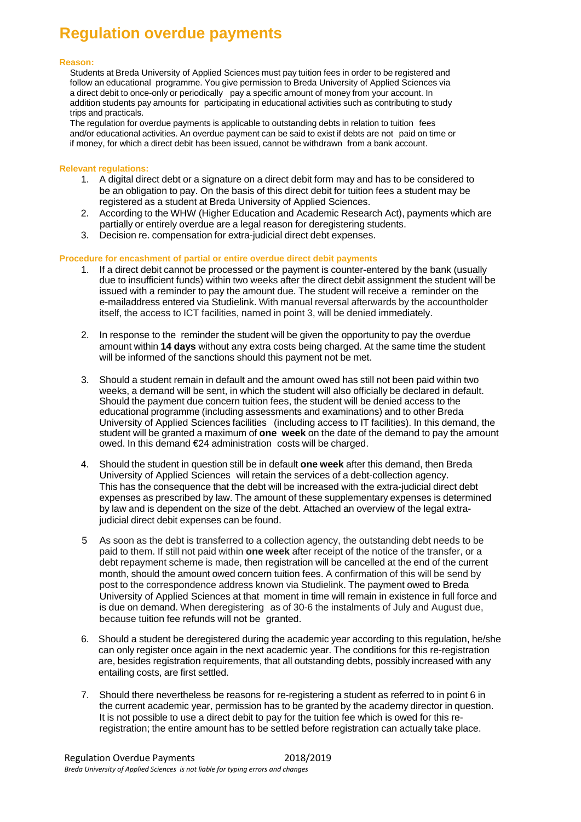## **Regulation overdue payments**

## **Reason:**

Students at Breda University of Applied Sciences must pay tuition fees in order to be registered and follow an educational programme. You give permission to Breda University of Applied Sciences via a direct debit to once-only or periodically pay a specific amount of money from your account. In addition students pay amounts for participating in educational activities such as contributing to study trips and practicals.

The regulation for overdue payments is applicable to outstanding debts in relation to tuition fees and/or educational activities. An overdue payment can be said to exist if debts are not paid on time or if money, for which a direct debit has been issued, cannot be withdrawn from a bank account.

## **Relevant regulations:**

- 1. A digital direct debt or a signature on a direct debit form may and has to be considered to be an obligation to pay. On the basis of this direct debit for tuition fees a student may be registered as a student at Breda University of Applied Sciences.
- 2. According to the WHW (Higher Education and Academic Research Act), payments which are partially or entirely overdue are a legal reason for deregistering students.
- 3. Decision re. compensation for extra-judicial direct debt expenses.

## **Procedure for encashment of partial or entire overdue direct debit payments**

- 1. If a direct debit cannot be processed or the payment is counter-entered by the bank (usually due to insufficient funds) within two weeks after the direct debit assignment the student will be issued with a reminder to pay the amount due. The student will receive a reminder on the e-mailaddress entered via Studielink. With manual reversal afterwards by the accountholder itself, the access to ICT facilities, named in point 3, will be denied immediately.
- 2. In response to the reminder the student will be given the opportunity to pay the overdue amount within **14 days** without any extra costs being charged. At the same time the student will be informed of the sanctions should this payment not be met.
- 3. Should a student remain in default and the amount owed has still not been paid within two weeks, a demand will be sent, in which the student will also officially be declared in default. Should the payment due concern tuition fees, the student will be denied access to the educational programme (including assessments and examinations) and to other Breda University of Applied Sciences facilities (including access to IT facilities). In this demand, the student will be granted a maximum of **one week** on the date of the demand to pay the amount owed. In this demand €24 administration costs will be charged.
- 4. Should the student in question still be in default **one week** after this demand, then Breda University of Applied Sciences will retain the services of a debt-collection agency. This has the consequence that the debt will be increased with the extra-judicial direct debt expenses as prescribed by law. The amount of these supplementary expenses is determined by law and is dependent on the size of the debt. Attached an overview of the legal extrajudicial direct debit expenses can be found.
- 5 As soon as the debt is transferred to a collection agency, the outstanding debt needs to be paid to them. If still not paid within **one week** after receipt of the notice of the transfer, or a debt repayment scheme is made, then registration will be cancelled at the end of the current month, should the amount owed concern tuition fees. A confirmation of this will be send by post to the correspondence address known via Studielink. The payment owed to Breda University of Applied Sciences at that moment in time will remain in existence in full force and is due on demand. When deregistering as of 30-6 the instalments of July and August due, because tuition fee refunds will not be granted.
- 6. Should a student be deregistered during the academic year according to this regulation, he/she can only register once again in the next academic year. The conditions for this re-registration are, besides registration requirements, that all outstanding debts, possibly increased with any entailing costs, are first settled.
- 7. Should there nevertheless be reasons for re-registering a student as referred to in point 6 in the current academic year, permission has to be granted by the academy director in question. It is not possible to use a direct debit to pay for the tuition fee which is owed for this reregistration; the entire amount has to be settled before registration can actually take place.